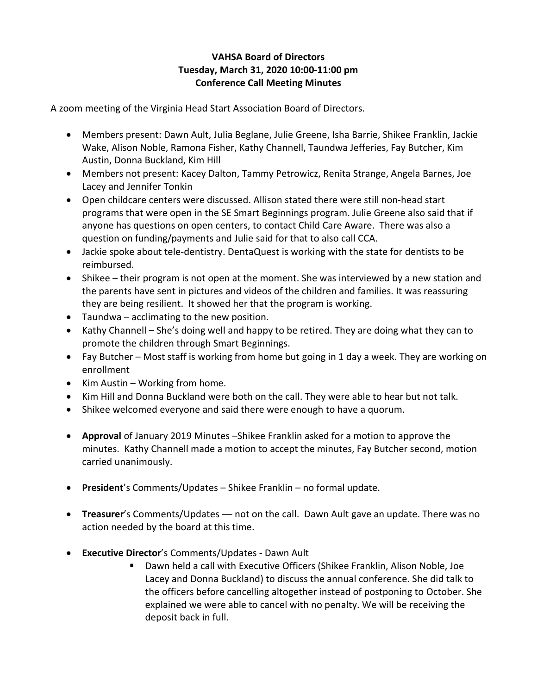## **VAHSA Board of Directors Tuesday, March 31, 2020 10:00-11:00 pm Conference Call Meeting Minutes**

A zoom meeting of the Virginia Head Start Association Board of Directors.

- Members present: Dawn Ault, Julia Beglane, Julie Greene, Isha Barrie, Shikee Franklin, Jackie Wake, Alison Noble, Ramona Fisher, Kathy Channell, Taundwa Jefferies, Fay Butcher, Kim Austin, Donna Buckland, Kim Hill
- Members not present: Kacey Dalton, Tammy Petrowicz, Renita Strange, Angela Barnes, Joe Lacey and Jennifer Tonkin
- Open childcare centers were discussed. Allison stated there were still non-head start programs that were open in the SE Smart Beginnings program. Julie Greene also said that if anyone has questions on open centers, to contact Child Care Aware. There was also a question on funding/payments and Julie said for that to also call CCA.
- Jackie spoke about tele-dentistry. DentaQuest is working with the state for dentists to be reimbursed.
- Shikee their program is not open at the moment. She was interviewed by a new station and the parents have sent in pictures and videos of the children and families. It was reassuring they are being resilient. It showed her that the program is working.
- Taundwa acclimating to the new position.
- Kathy Channell She's doing well and happy to be retired. They are doing what they can to promote the children through Smart Beginnings.
- Fay Butcher Most staff is working from home but going in 1 day a week. They are working on enrollment
- Kim Austin Working from home.
- Kim Hill and Donna Buckland were both on the call. They were able to hear but not talk.
- Shikee welcomed everyone and said there were enough to have a quorum.
- **Approval** of January 2019 Minutes –Shikee Franklin asked for a motion to approve the minutes. Kathy Channell made a motion to accept the minutes, Fay Butcher second, motion carried unanimously.
- **President**'s Comments/Updates Shikee Franklin no formal update.
- **Treasurer's Comments/Updates not on the call. Dawn Ault gave an update. There was no** action needed by the board at this time.
- **Executive Director**'s Comments/Updates Dawn Ault
	- Dawn held a call with Executive Officers (Shikee Franklin, Alison Noble, Joe Lacey and Donna Buckland) to discuss the annual conference. She did talk to the officers before cancelling altogether instead of postponing to October. She explained we were able to cancel with no penalty. We will be receiving the deposit back in full.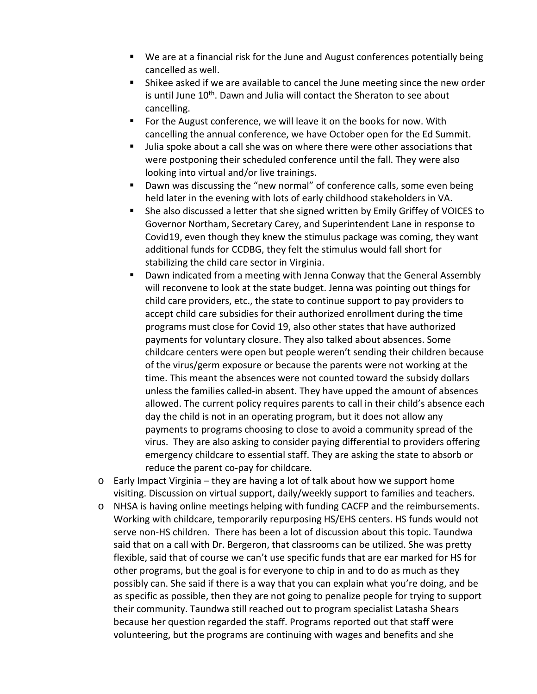- We are at a financial risk for the June and August conferences potentially being cancelled as well.
- Shikee asked if we are available to cancel the June meeting since the new order is until June 10<sup>th</sup>. Dawn and Julia will contact the Sheraton to see about cancelling.
- **F** For the August conference, we will leave it on the books for now. With cancelling the annual conference, we have October open for the Ed Summit.
- Julia spoke about a call she was on where there were other associations that were postponing their scheduled conference until the fall. They were also looking into virtual and/or live trainings.
- Dawn was discussing the "new normal" of conference calls, some even being held later in the evening with lots of early childhood stakeholders in VA.
- She also discussed a letter that she signed written by Emily Griffey of VOICES to Governor Northam, Secretary Carey, and Superintendent Lane in response to Covid19, even though they knew the stimulus package was coming, they want additional funds for CCDBG, they felt the stimulus would fall short for stabilizing the child care sector in Virginia.
- Dawn indicated from a meeting with Jenna Conway that the General Assembly will reconvene to look at the state budget. Jenna was pointing out things for child care providers, etc., the state to continue support to pay providers to accept child care subsidies for their authorized enrollment during the time programs must close for Covid 19, also other states that have authorized payments for voluntary closure. They also talked about absences. Some childcare centers were open but people weren't sending their children because of the virus/germ exposure or because the parents were not working at the time. This meant the absences were not counted toward the subsidy dollars unless the families called-in absent. They have upped the amount of absences allowed. The current policy requires parents to call in their child's absence each day the child is not in an operating program, but it does not allow any payments to programs choosing to close to avoid a community spread of the virus. They are also asking to consider paying differential to providers offering emergency childcare to essential staff. They are asking the state to absorb or reduce the parent co-pay for childcare.
- o Early Impact Virginia they are having a lot of talk about how we support home visiting. Discussion on virtual support, daily/weekly support to families and teachers.
- o NHSA is having online meetings helping with funding CACFP and the reimbursements. Working with childcare, temporarily repurposing HS/EHS centers. HS funds would not serve non-HS children. There has been a lot of discussion about this topic. Taundwa said that on a call with Dr. Bergeron, that classrooms can be utilized. She was pretty flexible, said that of course we can't use specific funds that are ear marked for HS for other programs, but the goal is for everyone to chip in and to do as much as they possibly can. She said if there is a way that you can explain what you're doing, and be as specific as possible, then they are not going to penalize people for trying to support their community. Taundwa still reached out to program specialist Latasha Shears because her question regarded the staff. Programs reported out that staff were volunteering, but the programs are continuing with wages and benefits and she